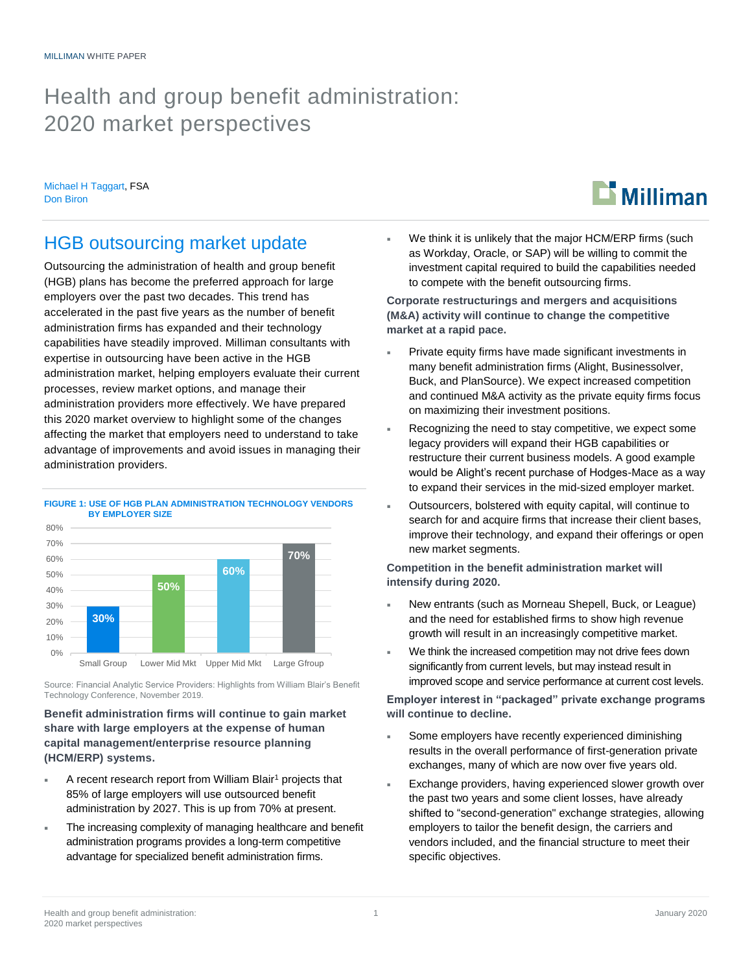## Health and group benefit administration: 2020 market perspectives

Michael H Taggart, FSA Don Biron

# **Milliman**

## HGB outsourcing market update

Outsourcing the administration of health and group benefit (HGB) plans has become the preferred approach for large employers over the past two decades. This trend has accelerated in the past five years as the number of benefit administration firms has expanded and their technology capabilities have steadily improved. Milliman consultants with expertise in outsourcing have been active in the HGB administration market, helping employers evaluate their current processes, review market options, and manage their administration providers more effectively. We have prepared this 2020 market overview to highlight some of the changes affecting the market that employers need to understand to take advantage of improvements and avoid issues in managing their administration providers.



**FIGURE 1: USE OF HGB PLAN ADMINISTRATION TECHNOLOGY VENDORS BY EMPLOYER SIZE**

Source: Financial Analytic Service Providers: Highlights from William Blair's Benefit Technology Conference, November 2019.

#### **Benefit administration firms will continue to gain market share with large employers at the expense of human capital management/enterprise resource planning (HCM/ERP) systems.**

- $\blacksquare$  A recent research report from William Blair<sup>1</sup> projects that 85% of large employers will use outsourced benefit administration by 2027. This is up from 70% at present.
- The increasing complexity of managing healthcare and benefit administration programs provides a long-term competitive advantage for specialized benefit administration firms.

 We think it is unlikely that the major HCM/ERP firms (such as Workday, Oracle, or SAP) will be willing to commit the investment capital required to build the capabilities needed to compete with the benefit outsourcing firms.

**Corporate restructurings and mergers and acquisitions (M&A) activity will continue to change the competitive market at a rapid pace.**

- Private equity firms have made significant investments in many benefit administration firms (Alight, Businessolver, Buck, and PlanSource). We expect increased competition and continued M&A activity as the private equity firms focus on maximizing their investment positions.
- Recognizing the need to stay competitive, we expect some legacy providers will expand their HGB capabilities or restructure their current business models. A good example would be Alight's recent purchase of Hodges-Mace as a way to expand their services in the mid-sized employer market.
- Outsourcers, bolstered with equity capital, will continue to search for and acquire firms that increase their client bases, improve their technology, and expand their offerings or open new market segments.

**Competition in the benefit administration market will intensify during 2020.**

- New entrants (such as Morneau Shepell, Buck, or League) and the need for established firms to show high revenue growth will result in an increasingly competitive market.
- We think the increased competition may not drive fees down significantly from current levels, but may instead result in improved scope and service performance at current cost levels.

**Employer interest in "packaged" private exchange programs will continue to decline.**

- Some employers have recently experienced diminishing results in the overall performance of first-generation private exchanges, many of which are now over five years old.
- Exchange providers, having experienced slower growth over the past two years and some client losses, have already shifted to "second-generation" exchange strategies, allowing employers to tailor the benefit design, the carriers and vendors included, and the financial structure to meet their specific objectives.